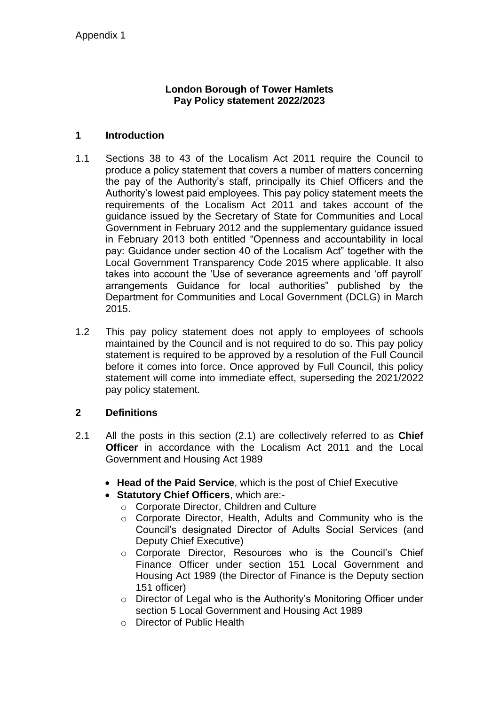### **London Borough of Tower Hamlets Pay Policy statement 2022/2023**

### **1 Introduction**

- 1.1 Sections 38 to 43 of the Localism Act 2011 require the Council to produce a policy statement that covers a number of matters concerning the pay of the Authority's staff, principally its Chief Officers and the Authority's lowest paid employees. This pay policy statement meets the requirements of the Localism Act 2011 and takes account of the guidance issued by the Secretary of State for Communities and Local Government in February 2012 and the supplementary guidance issued in February 2013 both entitled "Openness and accountability in local pay: Guidance under section 40 of the Localism Act" together with the Local Government Transparency Code 2015 where applicable. It also takes into account the 'Use of severance agreements and 'off payroll' arrangements Guidance for local authorities" published by the Department for Communities and Local Government (DCLG) in March 2015.
- 1.2 This pay policy statement does not apply to employees of schools maintained by the Council and is not required to do so. This pay policy statement is required to be approved by a resolution of the Full Council before it comes into force. Once approved by Full Council, this policy statement will come into immediate effect, superseding the 2021/2022 pay policy statement.

## **2 Definitions**

- 2.1 All the posts in this section (2.1) are collectively referred to as **Chief Officer** in accordance with the Localism Act 2011 and the Local Government and Housing Act 1989
	- **Head of the Paid Service**, which is the post of Chief Executive
	- **Statutory Chief Officers**, which are:
		- o Corporate Director, Children and Culture
		- o Corporate Director, Health, Adults and Community who is the Council's designated Director of Adults Social Services (and Deputy Chief Executive)
		- o Corporate Director, Resources who is the Council's Chief Finance Officer under section 151 Local Government and Housing Act 1989 (the Director of Finance is the Deputy section 151 officer)
		- o Director of Legal who is the Authority's Monitoring Officer under section 5 Local Government and Housing Act 1989
		- o Director of Public Health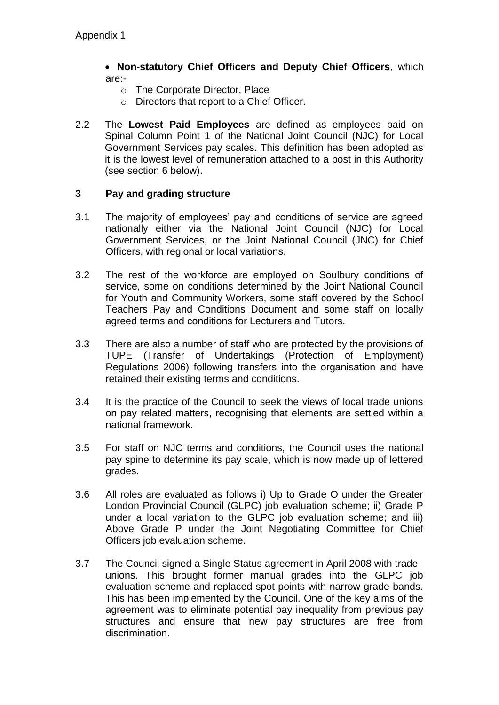**Non-statutory Chief Officers and Deputy Chief Officers**, which are:-

- o The Corporate Director, Place
- o Directors that report to a Chief Officer.
- 2.2 The **Lowest Paid Employees** are defined as employees paid on Spinal Column Point 1 of the National Joint Council (NJC) for Local Government Services pay scales. This definition has been adopted as it is the lowest level of remuneration attached to a post in this Authority (see section 6 below).

### **3 Pay and grading structure**

- 3.1 The majority of employees' pay and conditions of service are agreed nationally either via the National Joint Council (NJC) for Local Government Services, or the Joint National Council (JNC) for Chief Officers, with regional or local variations.
- 3.2 The rest of the workforce are employed on Soulbury conditions of service, some on conditions determined by the Joint National Council for Youth and Community Workers, some staff covered by the School Teachers Pay and Conditions Document and some staff on locally agreed terms and conditions for Lecturers and Tutors.
- 3.3 There are also a number of staff who are protected by the provisions of TUPE (Transfer of Undertakings (Protection of Employment) Regulations 2006) following transfers into the organisation and have retained their existing terms and conditions.
- 3.4 It is the practice of the Council to seek the views of local trade unions on pay related matters, recognising that elements are settled within a national framework.
- 3.5 For staff on NJC terms and conditions, the Council uses the national pay spine to determine its pay scale, which is now made up of lettered grades.
- 3.6 All roles are evaluated as follows i) Up to Grade O under the Greater London Provincial Council (GLPC) job evaluation scheme; ii) Grade P under a local variation to the GLPC job evaluation scheme; and iii) Above Grade P under the Joint Negotiating Committee for Chief Officers job evaluation scheme.
- 3.7 The Council signed a Single Status agreement in April 2008 with trade unions. This brought former manual grades into the GLPC job evaluation scheme and replaced spot points with narrow grade bands. This has been implemented by the Council. One of the key aims of the agreement was to eliminate potential pay inequality from previous pay structures and ensure that new pay structures are free from discrimination.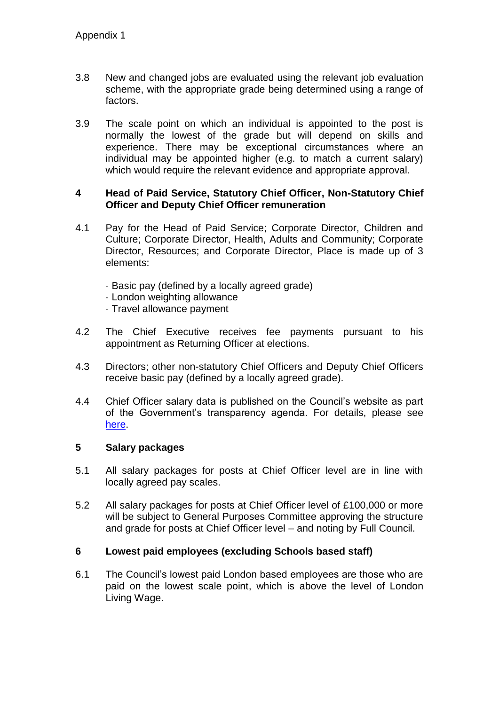- 3.8 New and changed jobs are evaluated using the relevant job evaluation scheme, with the appropriate grade being determined using a range of factors.
- 3.9 The scale point on which an individual is appointed to the post is normally the lowest of the grade but will depend on skills and experience. There may be exceptional circumstances where an individual may be appointed higher (e.g. to match a current salary) which would require the relevant evidence and appropriate approval.

#### **4 Head of Paid Service, Statutory Chief Officer, Non-Statutory Chief Officer and Deputy Chief Officer remuneration**

- 4.1 Pay for the Head of Paid Service; Corporate Director, Children and Culture; Corporate Director, Health, Adults and Community; Corporate Director, Resources; and Corporate Director, Place is made up of 3 elements:
	- · Basic pay (defined by a locally agreed grade)
	- · London weighting allowance
	- · Travel allowance payment
- 4.2 The Chief Executive receives fee payments pursuant to his appointment as Returning Officer at elections.
- 4.3 Directors; other non-statutory Chief Officers and Deputy Chief Officers receive basic pay (defined by a locally agreed grade).
- 4.4 Chief Officer salary data is published on the Council's website as part of the Government's transparency agenda. For details, please see [here.](https://www.towerhamlets.gov.uk/lgnl/council_and_democracy/Transparency/staff_and_trade_unions.aspx)

#### **5 Salary packages**

- 5.1 All salary packages for posts at Chief Officer level are in line with locally agreed pay scales.
- 5.2 All salary packages for posts at Chief Officer level of £100,000 or more will be subject to General Purposes Committee approving the structure and grade for posts at Chief Officer level – and noting by Full Council.

#### **6 Lowest paid employees (excluding Schools based staff)**

6.1 The Council's lowest paid London based employees are those who are paid on the lowest scale point, which is above the level of London Living Wage.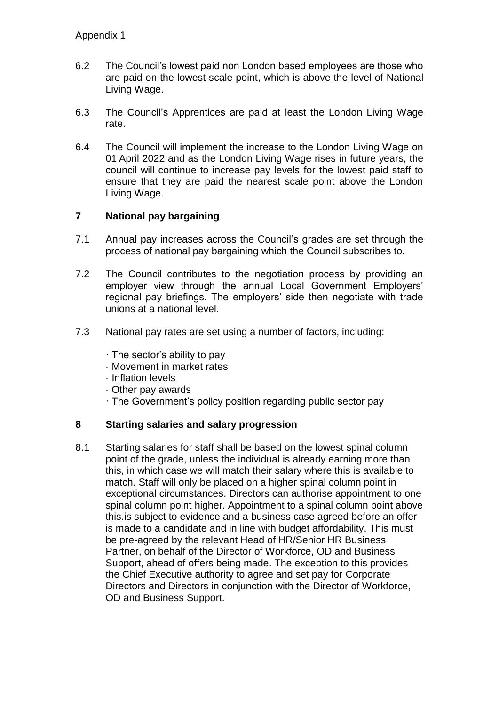- 6.2 The Council's lowest paid non London based employees are those who are paid on the lowest scale point, which is above the level of National Living Wage.
- 6.3 The Council's Apprentices are paid at least the London Living Wage rate.
- 6.4 The Council will implement the increase to the London Living Wage on 01 April 2022 and as the London Living Wage rises in future years, the council will continue to increase pay levels for the lowest paid staff to ensure that they are paid the nearest scale point above the London Living Wage.

# **7 National pay bargaining**

- 7.1 Annual pay increases across the Council's grades are set through the process of national pay bargaining which the Council subscribes to.
- 7.2 The Council contributes to the negotiation process by providing an employer view through the annual Local Government Employers' regional pay briefings. The employers' side then negotiate with trade unions at a national level.
- 7.3 National pay rates are set using a number of factors, including:
	- · The sector's ability to pay
	- · Movement in market rates
	- · Inflation levels
	- · Other pay awards
	- · The Government's policy position regarding public sector pay

## **8 Starting salaries and salary progression**

8.1 Starting salaries for staff shall be based on the lowest spinal column point of the grade, unless the individual is already earning more than this, in which case we will match their salary where this is available to match. Staff will only be placed on a higher spinal column point in exceptional circumstances. Directors can authorise appointment to one spinal column point higher. Appointment to a spinal column point above this.is subject to evidence and a business case agreed before an offer is made to a candidate and in line with budget affordability. This must be pre-agreed by the relevant Head of HR/Senior HR Business Partner, on behalf of the Director of Workforce, OD and Business Support, ahead of offers being made. The exception to this provides the Chief Executive authority to agree and set pay for Corporate Directors and Directors in conjunction with the Director of Workforce, OD and Business Support.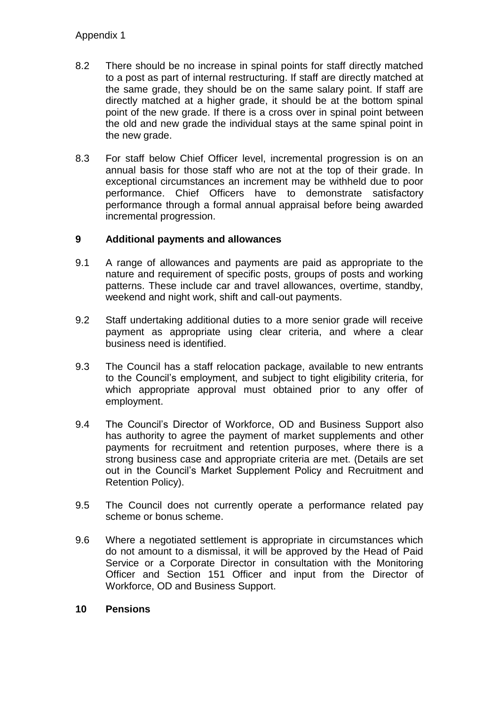- 8.2 There should be no increase in spinal points for staff directly matched to a post as part of internal restructuring. If staff are directly matched at the same grade, they should be on the same salary point. If staff are directly matched at a higher grade, it should be at the bottom spinal point of the new grade. If there is a cross over in spinal point between the old and new grade the individual stays at the same spinal point in the new grade.
- 8.3 For staff below Chief Officer level, incremental progression is on an annual basis for those staff who are not at the top of their grade. In exceptional circumstances an increment may be withheld due to poor performance. Chief Officers have to demonstrate satisfactory performance through a formal annual appraisal before being awarded incremental progression.

## **9 Additional payments and allowances**

- 9.1 A range of allowances and payments are paid as appropriate to the nature and requirement of specific posts, groups of posts and working patterns. These include car and travel allowances, overtime, standby, weekend and night work, shift and call-out payments.
- 9.2 Staff undertaking additional duties to a more senior grade will receive payment as appropriate using clear criteria, and where a clear business need is identified.
- 9.3 The Council has a staff relocation package, available to new entrants to the Council's employment, and subject to tight eligibility criteria, for which appropriate approval must obtained prior to any offer of employment.
- 9.4 The Council's Director of Workforce, OD and Business Support also has authority to agree the payment of market supplements and other payments for recruitment and retention purposes, where there is a strong business case and appropriate criteria are met. (Details are set out in the Council's Market Supplement Policy and Recruitment and Retention Policy).
- 9.5 The Council does not currently operate a performance related pay scheme or bonus scheme.
- 9.6 Where a negotiated settlement is appropriate in circumstances which do not amount to a dismissal, it will be approved by the Head of Paid Service or a Corporate Director in consultation with the Monitoring Officer and Section 151 Officer and input from the Director of Workforce, OD and Business Support.

#### **10 Pensions**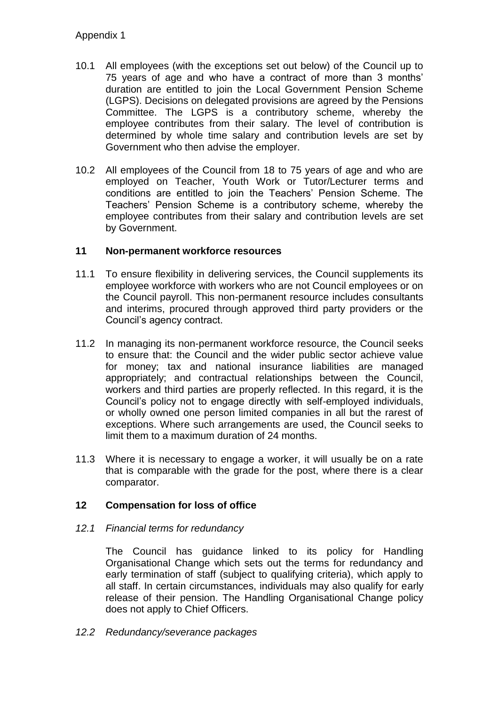- 10.1 All employees (with the exceptions set out below) of the Council up to 75 years of age and who have a contract of more than 3 months' duration are entitled to join the Local Government Pension Scheme (LGPS). Decisions on delegated provisions are agreed by the Pensions Committee. The LGPS is a contributory scheme, whereby the employee contributes from their salary. The level of contribution is determined by whole time salary and contribution levels are set by Government who then advise the employer.
- 10.2 All employees of the Council from 18 to 75 years of age and who are employed on Teacher, Youth Work or Tutor/Lecturer terms and conditions are entitled to join the Teachers' Pension Scheme. The Teachers' Pension Scheme is a contributory scheme, whereby the employee contributes from their salary and contribution levels are set by Government.

### **11 Non-permanent workforce resources**

- 11.1 To ensure flexibility in delivering services, the Council supplements its employee workforce with workers who are not Council employees or on the Council payroll. This non-permanent resource includes consultants and interims, procured through approved third party providers or the Council's agency contract.
- 11.2 In managing its non-permanent workforce resource, the Council seeks to ensure that: the Council and the wider public sector achieve value for money; tax and national insurance liabilities are managed appropriately; and contractual relationships between the Council, workers and third parties are properly reflected. In this regard, it is the Council's policy not to engage directly with self-employed individuals, or wholly owned one person limited companies in all but the rarest of exceptions. Where such arrangements are used, the Council seeks to limit them to a maximum duration of 24 months.
- 11.3 Where it is necessary to engage a worker, it will usually be on a rate that is comparable with the grade for the post, where there is a clear comparator.

## **12 Compensation for loss of office**

#### *12.1 Financial terms for redundancy*

The Council has guidance linked to its policy for Handling Organisational Change which sets out the terms for redundancy and early termination of staff (subject to qualifying criteria), which apply to all staff. In certain circumstances, individuals may also qualify for early release of their pension. The Handling Organisational Change policy does not apply to Chief Officers.

*12.2 Redundancy/severance packages*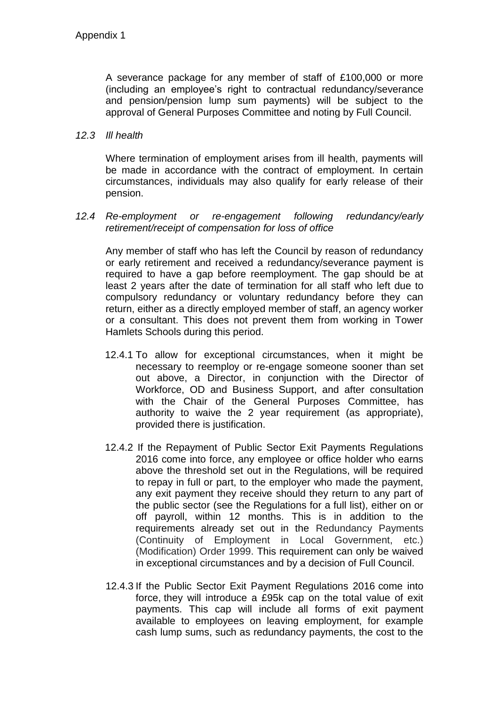A severance package for any member of staff of £100,000 or more (including an employee's right to contractual redundancy/severance and pension/pension lump sum payments) will be subject to the approval of General Purposes Committee and noting by Full Council.

#### *12.3 Ill health*

Where termination of employment arises from ill health, payments will be made in accordance with the contract of employment. In certain circumstances, individuals may also qualify for early release of their pension.

*12.4 Re-employment or re-engagement following redundancy/early retirement/receipt of compensation for loss of office*

Any member of staff who has left the Council by reason of redundancy or early retirement and received a redundancy/severance payment is required to have a gap before reemployment. The gap should be at least 2 years after the date of termination for all staff who left due to compulsory redundancy or voluntary redundancy before they can return, either as a directly employed member of staff, an agency worker or a consultant. This does not prevent them from working in Tower Hamlets Schools during this period.

- 12.4.1 To allow for exceptional circumstances, when it might be necessary to reemploy or re-engage someone sooner than set out above, a Director, in conjunction with the Director of Workforce, OD and Business Support, and after consultation with the Chair of the General Purposes Committee, has authority to waive the 2 year requirement (as appropriate), provided there is justification.
- 12.4.2 If the Repayment of Public Sector Exit Payments Regulations 2016 come into force, any employee or office holder who earns above the threshold set out in the Regulations, will be required to repay in full or part, to the employer who made the payment, any exit payment they receive should they return to any part of the public sector (see the Regulations for a full list), either on or off payroll, within 12 months. This is in addition to the requirements already set out in the Redundancy Payments (Continuity of Employment in Local Government, etc.) (Modification) Order 1999. This requirement can only be waived in exceptional circumstances and by a decision of Full Council.
- 12.4.3 If the Public Sector Exit Payment Regulations 2016 come into force, they will introduce a £95k cap on the total value of exit payments. This cap will include all forms of exit payment available to employees on leaving employment, for example cash lump sums, such as redundancy payments, the cost to the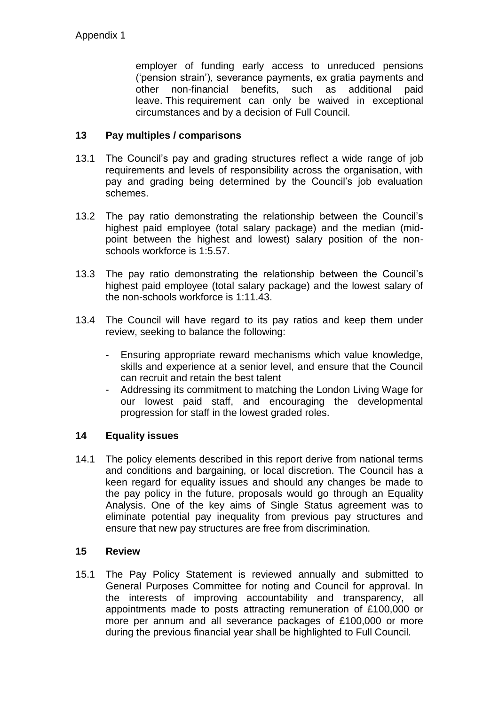employer of funding early access to unreduced pensions ('pension strain'), severance payments, ex gratia payments and other non-financial benefits, such as additional paid leave. This requirement can only be waived in exceptional circumstances and by a decision of Full Council.

### **13 Pay multiples / comparisons**

- 13.1 The Council's pay and grading structures reflect a wide range of job requirements and levels of responsibility across the organisation, with pay and grading being determined by the Council's job evaluation schemes.
- 13.2 The pay ratio demonstrating the relationship between the Council's highest paid employee (total salary package) and the median (midpoint between the highest and lowest) salary position of the nonschools workforce is 1:5.57.
- 13.3 The pay ratio demonstrating the relationship between the Council's highest paid employee (total salary package) and the lowest salary of the non-schools workforce is 1:11.43.
- 13.4 The Council will have regard to its pay ratios and keep them under review, seeking to balance the following:
	- Ensuring appropriate reward mechanisms which value knowledge, skills and experience at a senior level, and ensure that the Council can recruit and retain the best talent
	- Addressing its commitment to matching the London Living Wage for our lowest paid staff, and encouraging the developmental progression for staff in the lowest graded roles.

## **14 Equality issues**

14.1 The policy elements described in this report derive from national terms and conditions and bargaining, or local discretion. The Council has a keen regard for equality issues and should any changes be made to the pay policy in the future, proposals would go through an Equality Analysis. One of the key aims of Single Status agreement was to eliminate potential pay inequality from previous pay structures and ensure that new pay structures are free from discrimination.

#### **15 Review**

15.1 The Pay Policy Statement is reviewed annually and submitted to General Purposes Committee for noting and Council for approval. In the interests of improving accountability and transparency, all appointments made to posts attracting remuneration of £100,000 or more per annum and all severance packages of £100,000 or more during the previous financial year shall be highlighted to Full Council.